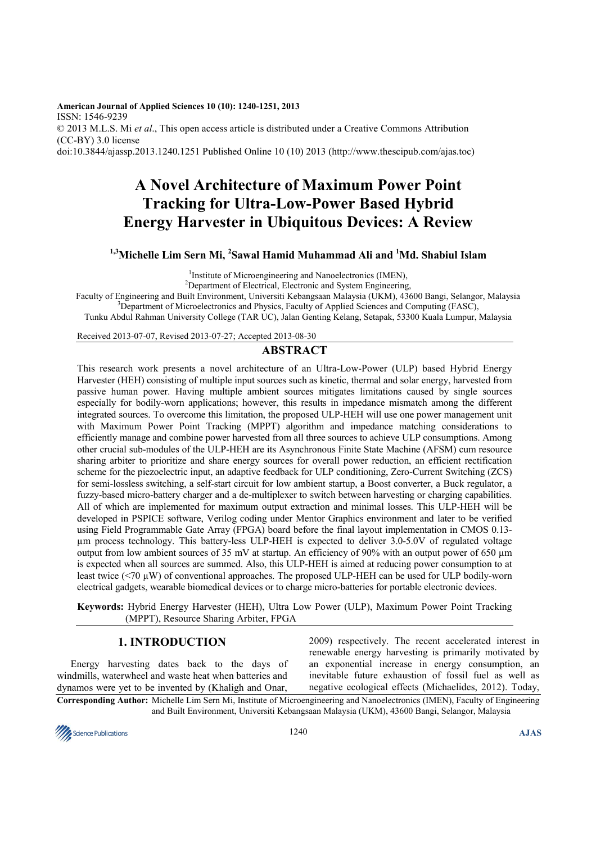**American Journal of Applied Sciences 10 (10): 1240-1251, 2013**  ISSN: 1546-9239 © 2013 M.L.S. Mi *et al*., This open access article is distributed under a Creative Commons Attribution (CC-BY) 3.0 license doi:10.3844/ajassp.2013.1240.1251 Published Online 10 (10) 2013 (http://www.thescipub.com/ajas.toc)

# **A Novel Architecture of Maximum Power Point Tracking for Ultra-Low-Power Based Hybrid Energy Harvester in Ubiquitous Devices: A Review**

## **1,3Michelle Lim Sern Mi, <sup>2</sup> Sawal Hamid Muhammad Ali and <sup>1</sup>Md. Shabiul Islam**

<sup>1</sup>Institute of Microengineering and Nanoelectronics (IMEN),

<sup>2</sup>Department of Electrical, Electronic and System Engineering,

Faculty of Engineering and Built Environment, Universiti Kebangsaan Malaysia (UKM), 43600 Bangi, Selangor, Malaysia <sup>3</sup>Department of Microelectronics and Physics, Faculty of Applied Sciences and Computing (FASC),

Tunku Abdul Rahman University College (TAR UC), Jalan Genting Kelang, Setapak, 53300 Kuala Lumpur, Malaysia

Received 2013-07-07, Revised 2013-07-27; Accepted 2013-08-30

## **ABSTRACT**

This research work presents a novel architecture of an Ultra-Low-Power (ULP) based Hybrid Energy Harvester (HEH) consisting of multiple input sources such as kinetic, thermal and solar energy, harvested from passive human power. Having multiple ambient sources mitigates limitations caused by single sources especially for bodily-worn applications; however, this results in impedance mismatch among the different integrated sources. To overcome this limitation, the proposed ULP-HEH will use one power management unit with Maximum Power Point Tracking (MPPT) algorithm and impedance matching considerations to efficiently manage and combine power harvested from all three sources to achieve ULP consumptions. Among other crucial sub-modules of the ULP-HEH are its Asynchronous Finite State Machine (AFSM) cum resource sharing arbiter to prioritize and share energy sources for overall power reduction, an efficient rectification scheme for the piezoelectric input, an adaptive feedback for ULP conditioning, Zero-Current Switching (ZCS) for semi-lossless switching, a self-start circuit for low ambient startup, a Boost converter, a Buck regulator, a fuzzy-based micro-battery charger and a de-multiplexer to switch between harvesting or charging capabilities. All of which are implemented for maximum output extraction and minimal losses. This ULP-HEH will be developed in PSPICE software, Verilog coding under Mentor Graphics environment and later to be verified using Field Programmable Gate Array (FPGA) board before the final layout implementation in CMOS 0.13 µm process technology. This battery-less ULP-HEH is expected to deliver 3.0-5.0V of regulated voltage output from low ambient sources of 35 mV at startup. An efficiency of 90% with an output power of 650 µm is expected when all sources are summed. Also, this ULP-HEH is aimed at reducing power consumption to at least twice (<70 µW) of conventional approaches. The proposed ULP-HEH can be used for ULP bodily-worn electrical gadgets, wearable biomedical devices or to charge micro-batteries for portable electronic devices.

**Keywords:** Hybrid Energy Harvester (HEH), Ultra Low Power (ULP), Maximum Power Point Tracking (MPPT), Resource Sharing Arbiter, FPGA

## **1. INTRODUCTION**

Energy harvesting dates back to the days of windmills, waterwheel and waste heat when batteries and dynamos were yet to be invented by (Khaligh and Onar,

2009) respectively. The recent accelerated interest in renewable energy harvesting is primarily motivated by an exponential increase in energy consumption, an inevitable future exhaustion of fossil fuel as well as negative ecological effects (Michaelides, 2012). Today,

**Corresponding Author:** Michelle Lim Sern Mi, Institute of Microengineering and Nanoelectronics (IMEN), Faculty of Engineering and Built Environment, Universiti Kebangsaan Malaysia (UKM), 43600 Bangi, Selangor, Malaysia

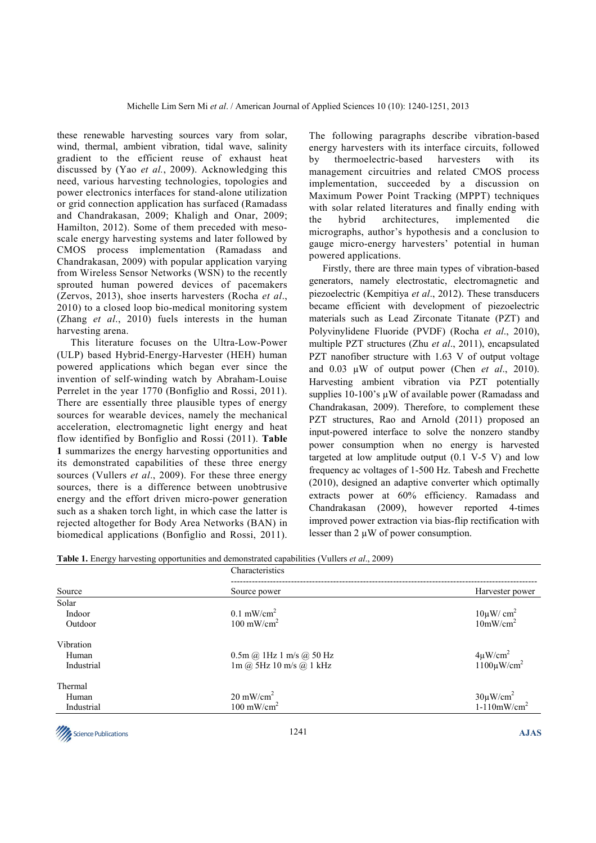these renewable harvesting sources vary from solar, wind, thermal, ambient vibration, tidal wave, salinity gradient to the efficient reuse of exhaust heat discussed by (Yao *et al.*, 2009). Acknowledging this need, various harvesting technologies, topologies and power electronics interfaces for stand-alone utilization or grid connection application has surfaced (Ramadass and Chandrakasan, 2009; Khaligh and Onar, 2009; Hamilton, 2012). Some of them preceded with mesoscale energy harvesting systems and later followed by CMOS process implementation (Ramadass and Chandrakasan, 2009) with popular application varying from Wireless Sensor Networks (WSN) to the recently sprouted human powered devices of pacemakers (Zervos, 2013), shoe inserts harvesters (Rocha *et al*., 2010) to a closed loop bio-medical monitoring system (Zhang *et al*., 2010) fuels interests in the human harvesting arena.

This literature focuses on the Ultra-Low-Power (ULP) based Hybrid-Energy-Harvester (HEH) human powered applications which began ever since the invention of self-winding watch by Abraham-Louise Perrelet in the year 1770 (Bonfiglio and Rossi, 2011). There are essentially three plausible types of energy sources for wearable devices, namely the mechanical acceleration, electromagnetic light energy and heat flow identified by Bonfiglio and Rossi (2011). **Table 1** summarizes the energy harvesting opportunities and its demonstrated capabilities of these three energy sources (Vullers *et al*., 2009). For these three energy sources, there is a difference between unobtrusive energy and the effort driven micro-power generation such as a shaken torch light, in which case the latter is rejected altogether for Body Area Networks (BAN) in biomedical applications (Bonfiglio and Rossi, 2011). The following paragraphs describe vibration-based energy harvesters with its interface circuits, followed by thermoelectric-based harvesters with its management circuitries and related CMOS process implementation, succeeded by a discussion on Maximum Power Point Tracking (MPPT) techniques with solar related literatures and finally ending with the hybrid architectures, implemented die micrographs, author's hypothesis and a conclusion to gauge micro-energy harvesters' potential in human powered applications.

Firstly, there are three main types of vibration-based generators, namely electrostatic, electromagnetic and piezoelectric (Kempitiya *et al*., 2012). These transducers became efficient with development of piezoelectric materials such as Lead Zirconate Titanate (PZT) and Polyvinylidene Fluoride (PVDF) (Rocha *et al*., 2010), multiple PZT structures (Zhu *et al*., 2011), encapsulated PZT nanofiber structure with 1.63 V of output voltage and 0.03 µW of output power (Chen *et al*., 2010). Harvesting ambient vibration via PZT potentially supplies 10-100's µW of available power (Ramadass and Chandrakasan, 2009). Therefore, to complement these PZT structures, Rao and Arnold (2011) proposed an input-powered interface to solve the nonzero standby power consumption when no energy is harvested targeted at low amplitude output  $(0.1 \text{ V-5 V})$  and low frequency ac voltages of 1-500 Hz. Tabesh and Frechette (2010), designed an adaptive converter which optimally extracts power at 60% efficiency. Ramadass and Chandrakasan (2009), however reported 4-times improved power extraction via bias-flip rectification with lesser than  $2 \mu W$  of power consumption.

|  |  |  | Table 1. Energy harvesting opportunities and demonstrated capabilities (Vullers et al., 2009) |  |
|--|--|--|-----------------------------------------------------------------------------------------------|--|
|  |  |  |                                                                                               |  |

|            | Characteristics                                                 |                                            |  |  |  |  |  |
|------------|-----------------------------------------------------------------|--------------------------------------------|--|--|--|--|--|
| Source     | Source power                                                    | Harvester power                            |  |  |  |  |  |
| Solar      |                                                                 |                                            |  |  |  |  |  |
| Indoor     | $0.1$ mW/cm <sup>2</sup>                                        | $10 \mu W/cm^2$                            |  |  |  |  |  |
| Outdoor    | $100 \text{ mW/cm}^2$                                           | 10mW/cm <sup>2</sup>                       |  |  |  |  |  |
| Vibration  |                                                                 |                                            |  |  |  |  |  |
| Human      | $0.5m$ @ 1Hz 1 m/s @ 50 Hz                                      | $4 \mu W/cm^2$<br>1100 $\mu W/cm^2$        |  |  |  |  |  |
| Industrial | $1m$ ( $\ddot{\omega}$ , 5Hz $10$ m/s ( $\ddot{\omega}$ , 1 kHz |                                            |  |  |  |  |  |
| Thermal    |                                                                 |                                            |  |  |  |  |  |
| Human      | $20 \text{ mW/cm}^2$                                            |                                            |  |  |  |  |  |
| Industrial | $100 \text{ mW/cm}^2$                                           | $30 \mu W/cm^2$<br>1-110mW/cm <sup>2</sup> |  |  |  |  |  |
|            |                                                                 |                                            |  |  |  |  |  |

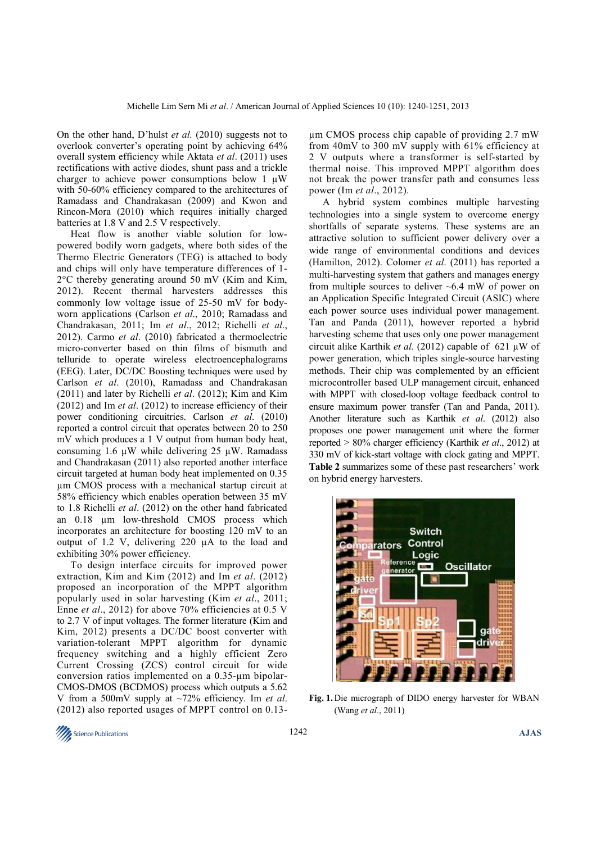On the other hand, D'hulst *et al.* (2010) suggests not to overlook converter's operating point by achieving 64% overall system efficiency while Aktata *et al*. (2011) uses rectifications with active diodes, shunt pass and a trickle charger to achieve power consumptions below 1  $\mu$ W with 50-60% efficiency compared to the architectures of Ramadass and Chandrakasan (2009) and Kwon and Rincon-Mora (2010) which requires initially charged batteries at 1.8 V and 2.5 V respectively.

Heat flow is another viable solution for lowpowered bodily worn gadgets, where both sides of the Thermo Electric Generators (TEG) is attached to body and chips will only have temperature differences of 1- 2°C thereby generating around 50 mV (Kim and Kim, 2012). Recent thermal harvesters addresses this commonly low voltage issue of 25-50 mV for bodyworn applications (Carlson *et al*., 2010; Ramadass and Chandrakasan, 2011; Im *et al*., 2012; Richelli *et al*., 2012). Carmo *et al*. (2010) fabricated a thermoelectric micro-converter based on thin films of bismuth and telluride to operate wireless electroencephalograms (EEG). Later, DC/DC Boosting techniques were used by Carlson *et al*. (2010), Ramadass and Chandrakasan (2011) and later by Richelli *et al*. (2012); Kim and Kim (2012) and Im *et al*. (2012) to increase efficiency of their power conditioning circuitries. Carlson *et al*. (2010) reported a control circuit that operates between 20 to 250 mV which produces a 1 V output from human body heat, consuming 1.6  $\mu$ W while delivering 25  $\mu$ W. Ramadass and Chandrakasan (2011) also reported another interface circuit targeted at human body heat implemented on 0.35 µm CMOS process with a mechanical startup circuit at 58% efficiency which enables operation between 35 mV to 1.8 Richelli *et al*. (2012) on the other hand fabricated an 0.18 µm low-threshold CMOS process which incorporates an architecture for boosting 120 mV to an output of 1.2 V, delivering 220 µA to the load and exhibiting 30% power efficiency.

To design interface circuits for improved power extraction, Kim and Kim (2012) and Im *et al*. (2012) proposed an incorporation of the MPPT algorithm popularly used in solar harvesting (Kim *et al*., 2011; Enne *et al*., 2012) for above 70% efficiencies at 0.5 V to 2.7 V of input voltages. The former literature (Kim and Kim, 2012) presents a DC/DC boost converter with variation-tolerant MPPT algorithm for dynamic frequency switching and a highly efficient Zero Current Crossing (ZCS) control circuit for wide conversion ratios implemented on a 0.35-µm bipolar-CMOS-DMOS (BCDMOS) process which outputs a 5.62 V from a 500mV supply at ~72% efficiency. Im *et al*. (2012) also reported usages of MPPT control on 0.13µm CMOS process chip capable of providing 2.7 mW from 40mV to 300 mV supply with 61% efficiency at 2 V outputs where a transformer is self-started by thermal noise. This improved MPPT algorithm does not break the power transfer path and consumes less power (Im *et al*., 2012).

A hybrid system combines multiple harvesting technologies into a single system to overcome energy shortfalls of separate systems. These systems are an attractive solution to sufficient power delivery over a wide range of environmental conditions and devices (Hamilton, 2012). Colomer *et al*. (2011) has reported a multi-harvesting system that gathers and manages energy from multiple sources to deliver  $\sim 6.4$  mW of power on an Application Specific Integrated Circuit (ASIC) where each power source uses individual power management. Tan and Panda (2011), however reported a hybrid harvesting scheme that uses only one power management circuit alike Karthik *et al.* (2012) capable of 621 µW of power generation, which triples single-source harvesting methods. Their chip was complemented by an efficient microcontroller based ULP management circuit, enhanced with MPPT with closed-loop voltage feedback control to ensure maximum power transfer (Tan and Panda, 2011). Another literature such as Karthik *et al*. (2012) also proposes one power management unit where the former reported > 80% charger efficiency (Karthik *et al*., 2012) at 330 mV of kick-start voltage with clock gating and MPPT. **Table 2** summarizes some of these past researchers' work on hybrid energy harvesters.



**Fig. 1.** Die micrograph of DIDO energy harvester for WBAN (Wang *et al*., 2011)

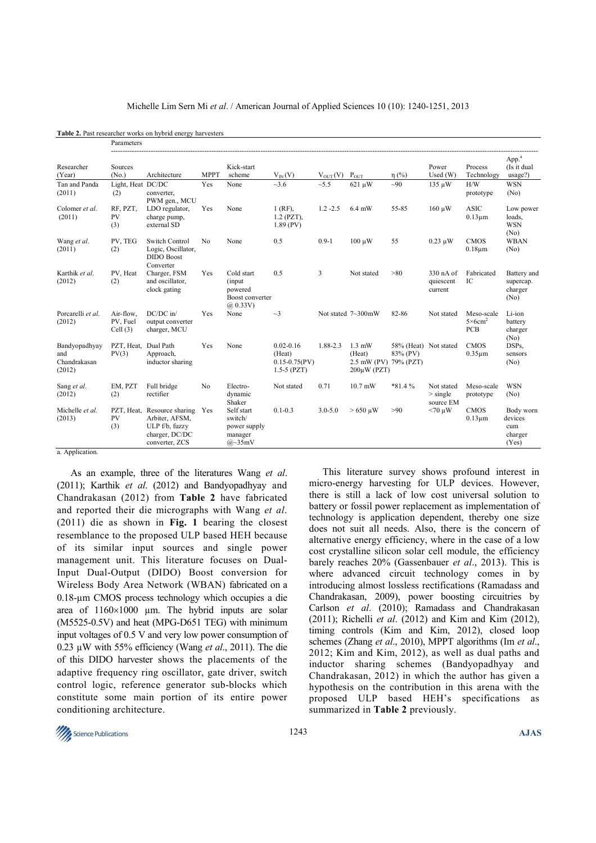|                                                | Parameters                       |                                                                                          |                |                                                                  |                                                                  |              |                                                    |                                                |                                       |                                                          |                                                 |
|------------------------------------------------|----------------------------------|------------------------------------------------------------------------------------------|----------------|------------------------------------------------------------------|------------------------------------------------------------------|--------------|----------------------------------------------------|------------------------------------------------|---------------------------------------|----------------------------------------------------------|-------------------------------------------------|
| Researcher<br>(Year)                           | Sources<br>(N <sub>0</sub> )     | Architecture                                                                             | <b>MPPT</b>    | Kick-start<br>scheme                                             | $V_{IN}(V)$                                                      | $V_{OUT}(V)$ | $P_{OUT}$                                          | $\eta$ (%)                                     | Power<br>Used $(W)$                   | Process<br>Technology                                    | App. <sup>a</sup><br>(Is it dual<br>usage?)     |
| Tan and Panda<br>(2011)                        | Light, Heat DC/DC<br>(2)         | converter,<br>PWM gen., MCU                                                              | Yes            | None                                                             | ~1.6                                                             | ~15.5        | 621 µW                                             | $\sim 90$                                      | $135 \mu W$                           | H/W<br>prototype                                         | <b>WSN</b><br>(No)                              |
| Colomer et al.<br>(2011)                       | RF, PZT,<br><b>PV</b><br>(3)     | LDO regulator,<br>charge pump,<br>external SD                                            | Yes            | None                                                             | $1$ (RF).<br>$1.2$ (PZT),<br>$1.89$ (PV)                         | $1.2 - 2.5$  | $6.4$ mW                                           | 55-85                                          | $160 \mu W$                           | <b>ASIC</b><br>$0.13 \mu m$                              | Low power<br>loads.<br><b>WSN</b><br>(No)       |
| Wang et al.<br>(2011)                          | PV, TEG<br>(2)                   | <b>Switch Control</b><br>Logic, Oscillator,<br><b>DIDO</b> Boost<br>Converter            | N <sub>0</sub> | None                                                             | 0.5                                                              | $0.9 - 1$    | $100 \mu W$                                        | 55                                             | $0.23 \mu W$                          | <b>CMOS</b><br>$0.18 \mu m$                              | <b>WBAN</b><br>(No)                             |
| Karthik et al.<br>(2012)                       | PV, Heat<br>(2)                  | Charger, FSM<br>and oscillator,<br>clock gating                                          | Yes            | Cold start<br>(input)<br>powered<br>Boost converter<br>(a) 0.33V | 0.5                                                              | 3            | Not stated                                         | >80                                            | 330 nA of<br>quiescent<br>current     | Fabricated<br>IC                                         | Battery and<br>supercap.<br>charger<br>(No)     |
| Porcarelli et al.<br>(2012)                    | Air-flow,<br>PV, Fuel<br>Cell(3) | DC/DC in/<br>output converter<br>charger, MCU                                            | <b>Yes</b>     | None                                                             | $\sim$ 3                                                         |              | Not stated $7\text{~300mW}$                        | 82-86                                          | Not stated                            | Meso-scale<br>$5 \times 6$ cm <sup>2</sup><br><b>PCB</b> | Li-ion<br>battery<br>charger<br>(No)            |
| Bandyopadhyay<br>and<br>Chandrakasan<br>(2012) | PZT, Heat, Dual Path<br>PV(3)    | Approach,<br>inductor sharing                                                            | Yes            | None                                                             | $0.02 - 0.16$<br>(Heat)<br>$0.15 - 0.75$ (PV)<br>$1.5 - 5$ (PZT) | 1.88-2.3     | $1.3$ mW<br>(Heat)<br>$2.5$ mW (PV)<br>200μW (PZT) | 58% (Heat) Not stated<br>83% (PV)<br>79% (PZT) |                                       | <b>CMOS</b><br>$0.35 \mu m$                              | DSPs,<br>sensors<br>(No)                        |
| Sang et al.<br>(2012)                          | EM, PZT<br>(2)                   | Full bridge<br>rectifier                                                                 | N <sub>0</sub> | Electro-<br>dynamic<br>Shaker                                    | Not stated                                                       | 0.71         | $10.7$ mW                                          | $*81.4%$                                       | Not stated<br>$>$ single<br>source EM | Meso-scale<br>prototype                                  | <b>WSN</b><br>(No)                              |
| Michelle et al.<br>(2013)                      | PZT, Heat,<br><b>PV</b><br>(3)   | Resource sharing<br>Arbiter, AFSM,<br>ULP f/b, fuzzy<br>charger, DC/DC<br>converter, ZCS | Yes            | Self start<br>switch/<br>power supply<br>manager<br>$(a)$ ~35mV  | $0.1 - 0.3$                                                      | $3.0 - 5.0$  | $>650$ µW                                          | >90                                            | $< 70 \mu W$                          | <b>CMOS</b><br>$0.13 \mu m$                              | Body worn<br>devices<br>cum<br>charger<br>(Yes) |
| a. Application.                                |                                  |                                                                                          |                |                                                                  |                                                                  |              |                                                    |                                                |                                       |                                                          |                                                 |

**Table 2.** Past researcher works on hybrid energy harvesters

As an example, three of the literatures Wang *et al*. (2011); Karthik *et al*. (2012) and Bandyopadhyay and Chandrakasan (2012) from **Table 2** have fabricated and reported their die micrographs with Wang *et al*. (2011) die as shown in **Fig. 1** bearing the closest resemblance to the proposed ULP based HEH because of its similar input sources and single power management unit. This literature focuses on Dual-Input Dual-Output (DIDO) Boost conversion for Wireless Body Area Network (WBAN) fabricated on a 0.18-µm CMOS process technology which occupies a die area of  $1160\times1000$  um. The hybrid inputs are solar (M5525-0.5V) and heat (MPG-D651 TEG) with minimum input voltages of 0.5 V and very low power consumption of 0.23 µW with 55% efficiency (Wang *et al*., 2011). The die of this DIDO harvester shows the placements of the adaptive frequency ring oscillator, gate driver, switch control logic, reference generator sub-blocks which constitute some main portion of its entire power conditioning architecture.

This literature survey shows profound interest in micro-energy harvesting for ULP devices. However, there is still a lack of low cost universal solution to battery or fossil power replacement as implementation of technology is application dependent, thereby one size does not suit all needs. Also, there is the concern of alternative energy efficiency, where in the case of a low cost crystalline silicon solar cell module, the efficiency barely reaches 20% (Gassenbauer *et al*., 2013). This is where advanced circuit technology comes in by introducing almost lossless rectifications (Ramadass and Chandrakasan, 2009), power boosting circuitries by Carlson *et al*. (2010); Ramadass and Chandrakasan (2011); Richelli *et al*. (2012) and Kim and Kim (2012), timing controls (Kim and Kim, 2012), closed loop schemes (Zhang *et al*., 2010), MPPT algorithms (Im *et al*., 2012; Kim and Kim, 2012), as well as dual paths and inductor sharing schemes (Bandyopadhyay and Chandrakasan, 2012) in which the author has given a hypothesis on the contribution in this arena with the proposed ULP based HEH's specifications as summarized in **Table 2** previously.

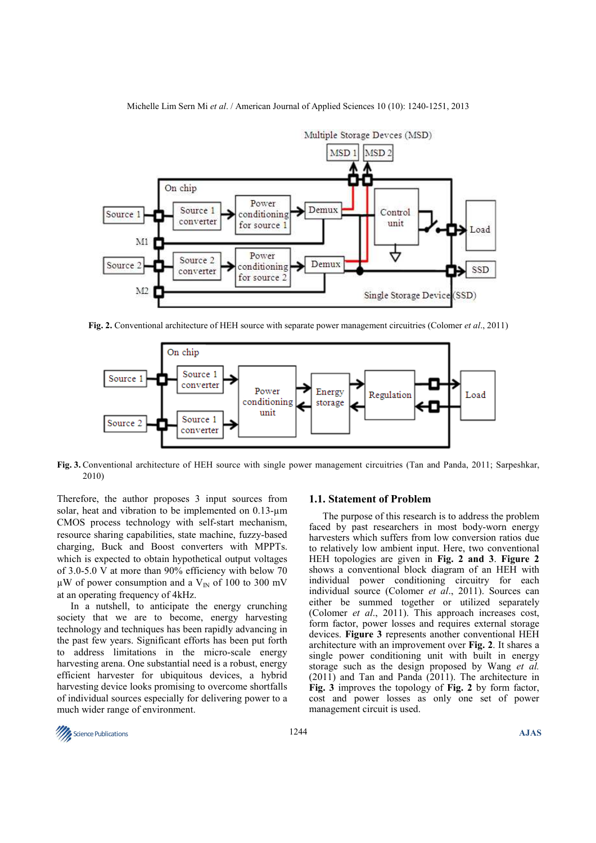

Michelle Lim Sern Mi *et al*. / American Journal of Applied Sciences 10 (10): 1240-1251, 2013

**Fig. 2.** Conventional architecture of HEH source with separate power management circuitries (Colomer *et al*., 2011)



**Fig. 3.** Conventional architecture of HEH source with single power management circuitries (Tan and Panda, 2011; Sarpeshkar, 2010)

Therefore, the author proposes 3 input sources from solar, heat and vibration to be implemented on 0.13-um CMOS process technology with self-start mechanism, resource sharing capabilities, state machine, fuzzy-based charging, Buck and Boost converters with MPPTs. which is expected to obtain hypothetical output voltages of 3.0-5.0 V at more than 90% efficiency with below 70  $\mu$ W of power consumption and a V<sub>IN</sub> of 100 to 300 mV at an operating frequency of 4kHz.

In a nutshell, to anticipate the energy crunching society that we are to become, energy harvesting technology and techniques has been rapidly advancing in the past few years. Significant efforts has been put forth to address limitations in the micro-scale energy harvesting arena. One substantial need is a robust, energy efficient harvester for ubiquitous devices, a hybrid harvesting device looks promising to overcome shortfalls of individual sources especially for delivering power to a much wider range of environment.

#### **1.1. Statement of Problem**

The purpose of this research is to address the problem faced by past researchers in most body-worn energy harvesters which suffers from low conversion ratios due to relatively low ambient input. Here, two conventional HEH topologies are given in **Fig. 2 and 3**. **Figure 2** shows a conventional block diagram of an HEH with individual power conditioning circuitry for each individual source (Colomer *et al*., 2011). Sources can either be summed together or utilized separately (Colomer *et al*., 2011). This approach increases cost, form factor, power losses and requires external storage devices. **Figure 3** represents another conventional HEH architecture with an improvement over **Fig. 2**. It shares a single power conditioning unit with built in energy storage such as the design proposed by Wang *et al.* (2011) and Tan and Panda (2011). The architecture in **Fig. 3** improves the topology of **Fig. 2** by form factor, cost and power losses as only one set of power management circuit is used.

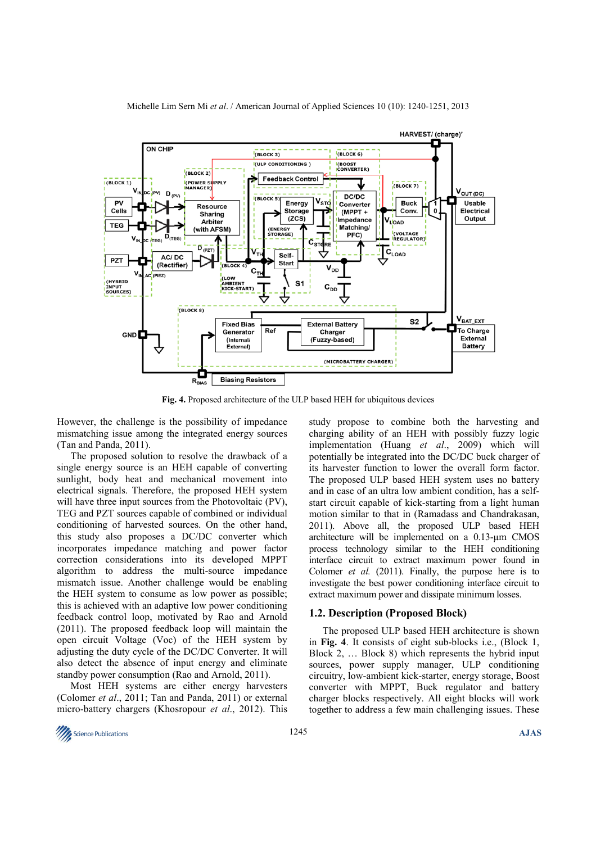

**Fig. 4.** Proposed architecture of the ULP based HEH for ubiquitous devices

However, the challenge is the possibility of impedance mismatching issue among the integrated energy sources (Tan and Panda, 2011).

The proposed solution to resolve the drawback of a single energy source is an HEH capable of converting sunlight, body heat and mechanical movement into electrical signals. Therefore, the proposed HEH system will have three input sources from the Photovoltaic (PV), TEG and PZT sources capable of combined or individual conditioning of harvested sources. On the other hand, this study also proposes a DC/DC converter which incorporates impedance matching and power factor correction considerations into its developed MPPT algorithm to address the multi-source impedance mismatch issue. Another challenge would be enabling the HEH system to consume as low power as possible; this is achieved with an adaptive low power conditioning feedback control loop, motivated by Rao and Arnold (2011). The proposed feedback loop will maintain the open circuit Voltage (Voc) of the HEH system by adjusting the duty cycle of the DC/DC Converter. It will also detect the absence of input energy and eliminate standby power consumption (Rao and Arnold, 2011).

Most HEH systems are either energy harvesters (Colomer *et al*., 2011; Tan and Panda, 2011) or external micro-battery chargers (Khosropour *et al*., 2012). This study propose to combine both the harvesting and charging ability of an HEH with possibly fuzzy logic implementation (Huang *et al*., 2009) which will potentially be integrated into the DC/DC buck charger of its harvester function to lower the overall form factor. The proposed ULP based HEH system uses no battery and in case of an ultra low ambient condition, has a selfstart circuit capable of kick-starting from a light human motion similar to that in (Ramadass and Chandrakasan, 2011). Above all, the proposed ULP based HEH architecture will be implemented on a 0.13-µm CMOS process technology similar to the HEH conditioning interface circuit to extract maximum power found in Colomer *et al.* (2011). Finally, the purpose here is to investigate the best power conditioning interface circuit to extract maximum power and dissipate minimum losses.

#### **1.2. Description (Proposed Block)**

The proposed ULP based HEH architecture is shown in **Fig. 4**. It consists of eight sub-blocks i.e., (Block 1, Block 2, … Block 8) which represents the hybrid input sources, power supply manager, ULP conditioning circuitry, low-ambient kick-starter, energy storage, Boost converter with MPPT, Buck regulator and battery charger blocks respectively. All eight blocks will work together to address a few main challenging issues. These

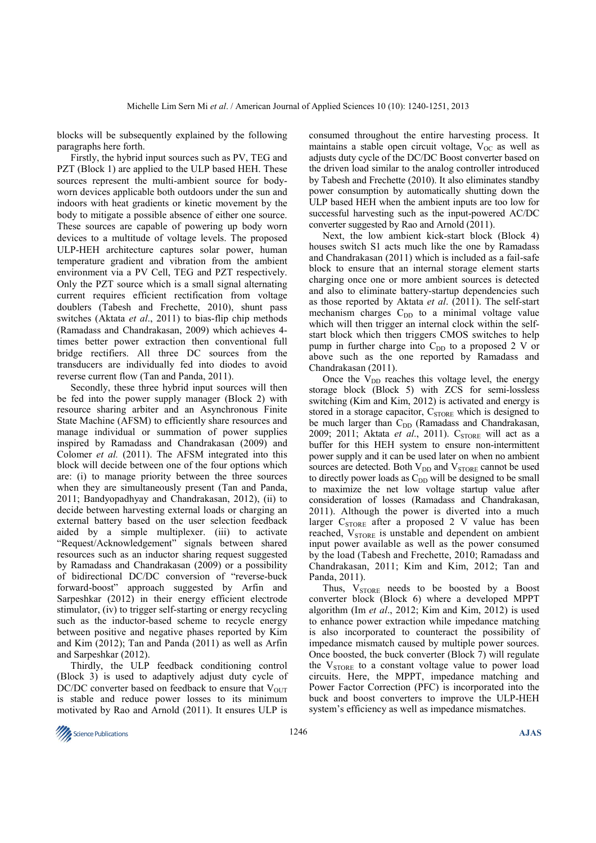blocks will be subsequently explained by the following paragraphs here forth.

Firstly, the hybrid input sources such as PV, TEG and PZT (Block 1) are applied to the ULP based HEH. These sources represent the multi-ambient source for bodyworn devices applicable both outdoors under the sun and indoors with heat gradients or kinetic movement by the body to mitigate a possible absence of either one source. These sources are capable of powering up body worn devices to a multitude of voltage levels. The proposed ULP-HEH architecture captures solar power, human temperature gradient and vibration from the ambient environment via a PV Cell, TEG and PZT respectively. Only the PZT source which is a small signal alternating current requires efficient rectification from voltage doublers (Tabesh and Frechette, 2010), shunt pass switches (Aktata *et al*., 2011) to bias-flip chip methods (Ramadass and Chandrakasan, 2009) which achieves 4 times better power extraction then conventional full bridge rectifiers. All three DC sources from the transducers are individually fed into diodes to avoid reverse current flow (Tan and Panda, 2011).

Secondly, these three hybrid input sources will then be fed into the power supply manager (Block 2) with resource sharing arbiter and an Asynchronous Finite State Machine (AFSM) to efficiently share resources and manage individual or summation of power supplies inspired by Ramadass and Chandrakasan (2009) and Colomer *et al.* (2011). The AFSM integrated into this block will decide between one of the four options which are: (i) to manage priority between the three sources when they are simultaneously present (Tan and Panda, 2011; Bandyopadhyay and Chandrakasan, 2012), (ii) to decide between harvesting external loads or charging an external battery based on the user selection feedback aided by a simple multiplexer. (iii) to activate "Request/Acknowledgement" signals between shared resources such as an inductor sharing request suggested by Ramadass and Chandrakasan (2009) or a possibility of bidirectional DC/DC conversion of "reverse-buck forward-boost" approach suggested by Arfin and Sarpeshkar (2012) in their energy efficient electrode stimulator, (iv) to trigger self-starting or energy recycling such as the inductor-based scheme to recycle energy between positive and negative phases reported by Kim and Kim (2012); Tan and Panda (2011) as well as Arfin and Sarpeshkar (2012).

Thirdly, the ULP feedback conditioning control (Block 3) is used to adaptively adjust duty cycle of DC/DC converter based on feedback to ensure that  $V<sub>OUT</sub>$ is stable and reduce power losses to its minimum motivated by Rao and Arnold (2011). It ensures ULP is

consumed throughout the entire harvesting process. It maintains a stable open circuit voltage,  $V_{OC}$  as well as adjusts duty cycle of the DC/DC Boost converter based on the driven load similar to the analog controller introduced by Tabesh and Frechette (2010). It also eliminates standby power consumption by automatically shutting down the ULP based HEH when the ambient inputs are too low for successful harvesting such as the input-powered AC/DC converter suggested by Rao and Arnold (2011).

Next, the low ambient kick-start block (Block 4) houses switch S1 acts much like the one by Ramadass and Chandrakasan (2011) which is included as a fail-safe block to ensure that an internal storage element starts charging once one or more ambient sources is detected and also to eliminate battery-startup dependencies such as those reported by Aktata *et al*. (2011). The self-start mechanism charges  $C_{DD}$  to a minimal voltage value which will then trigger an internal clock within the selfstart block which then triggers CMOS switches to help pump in further charge into  $C_{DD}$  to a proposed 2 V or above such as the one reported by Ramadass and Chandrakasan (2011).

Once the  $V_{DD}$  reaches this voltage level, the energy storage block (Block 5) with ZCS for semi-lossless switching (Kim and Kim, 2012) is activated and energy is stored in a storage capacitor,  $C_{\text{STORE}}$  which is designed to be much larger than  $C_{DD}$  (Ramadass and Chandrakasan, 2009; 2011; Aktata et al., 2011). C<sub>STORE</sub> will act as a buffer for this HEH system to ensure non-intermittent power supply and it can be used later on when no ambient sources are detected. Both V<sub>DD</sub> and V<sub>STORE</sub> cannot be used to directly power loads as  $C_{DD}$  will be designed to be small to maximize the net low voltage startup value after consideration of losses (Ramadass and Chandrakasan, 2011). Although the power is diverted into a much larger  $C_{\text{STORE}}$  after a proposed 2 V value has been reached, V<sub>STORE</sub> is unstable and dependent on ambient input power available as well as the power consumed by the load (Tabesh and Frechette, 2010; Ramadass and Chandrakasan, 2011; Kim and Kim, 2012; Tan and Panda, 2011).

Thus,  $V_{STORE}$  needs to be boosted by a Boost converter block (Block 6) where a developed MPPT algorithm (Im *et al*., 2012; Kim and Kim, 2012) is used to enhance power extraction while impedance matching is also incorporated to counteract the possibility of impedance mismatch caused by multiple power sources. Once boosted, the buck converter (Block 7) will regulate the  $V_{STORE}$  to a constant voltage value to power load circuits. Here, the MPPT, impedance matching and Power Factor Correction (PFC) is incorporated into the buck and boost converters to improve the ULP-HEH system's efficiency as well as impedance mismatches.

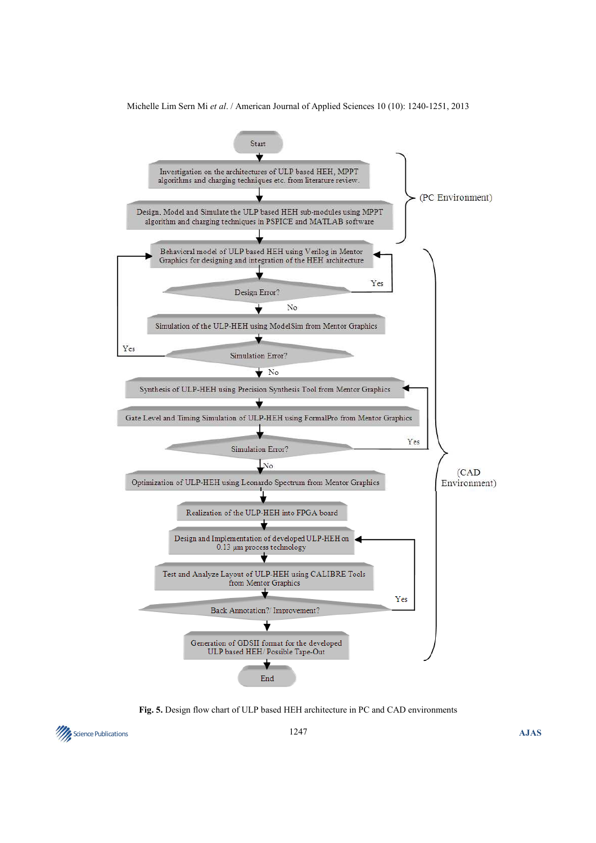

Michelle Lim Sern Mi *et al*. / American Journal of Applied Sciences 10 (10): 1240-1251, 2013

**Fig. 5.** Design flow chart of ULP based HEH architecture in PC and CAD environments

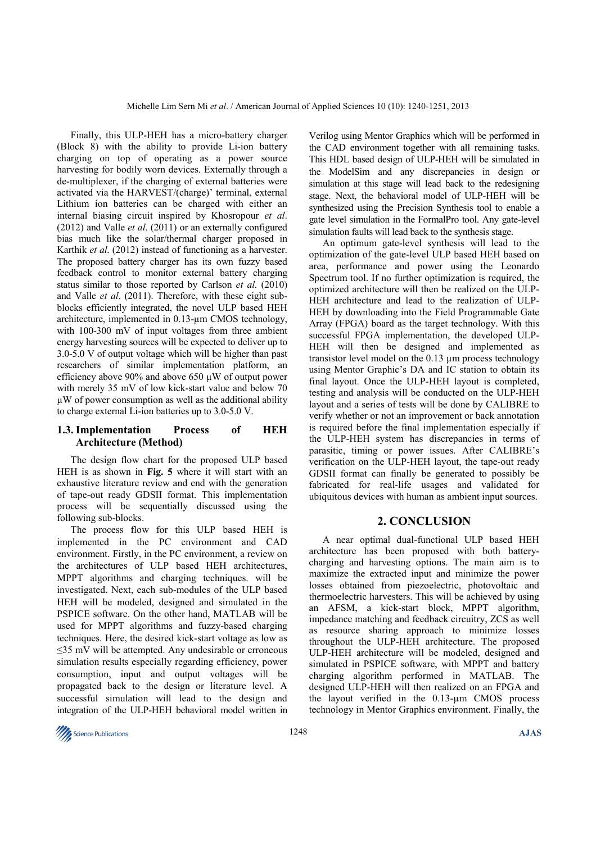Finally, this ULP-HEH has a micro-battery charger (Block 8) with the ability to provide Li-ion battery charging on top of operating as a power source harvesting for bodily worn devices. Externally through a de-multiplexer, if the charging of external batteries were activated via the HARVEST/(charge)' terminal, external Lithium ion batteries can be charged with either an internal biasing circuit inspired by Khosropour *et al*. (2012) and Valle *et al*. (2011) or an externally configured bias much like the solar/thermal charger proposed in Karthik *et al*. (2012) instead of functioning as a harvester. The proposed battery charger has its own fuzzy based feedback control to monitor external battery charging status similar to those reported by Carlson *et al*. (2010) and Valle *et al*. (2011). Therefore, with these eight subblocks efficiently integrated, the novel ULP based HEH architecture, implemented in 0.13-µm CMOS technology, with 100-300 mV of input voltages from three ambient energy harvesting sources will be expected to deliver up to 3.0-5.0 V of output voltage which will be higher than past researchers of similar implementation platform, an efficiency above 90% and above 650 µW of output power with merely 35 mV of low kick-start value and below 70 µW of power consumption as well as the additional ability to charge external Li-ion batteries up to 3.0-5.0 V.

### **1.3. Implementation Process of HEH Architecture (Method)**

The design flow chart for the proposed ULP based HEH is as shown in **Fig. 5** where it will start with an exhaustive literature review and end with the generation of tape-out ready GDSII format. This implementation process will be sequentially discussed using the following sub-blocks.

The process flow for this ULP based HEH is implemented in the PC environment and CAD environment. Firstly, in the PC environment, a review on the architectures of ULP based HEH architectures, MPPT algorithms and charging techniques. will be investigated. Next, each sub-modules of the ULP based HEH will be modeled, designed and simulated in the PSPICE software. On the other hand, MATLAB will be used for MPPT algorithms and fuzzy-based charging techniques. Here, the desired kick-start voltage as low as ≤35 mV will be attempted. Any undesirable or erroneous simulation results especially regarding efficiency, power consumption, input and output voltages will be propagated back to the design or literature level. A successful simulation will lead to the design and integration of the ULP-HEH behavioral model written in Verilog using Mentor Graphics which will be performed in the CAD environment together with all remaining tasks. This HDL based design of ULP-HEH will be simulated in the ModelSim and any discrepancies in design or simulation at this stage will lead back to the redesigning stage. Next, the behavioral model of ULP-HEH will be synthesized using the Precision Synthesis tool to enable a gate level simulation in the FormalPro tool. Any gate-level simulation faults will lead back to the synthesis stage.

An optimum gate-level synthesis will lead to the optimization of the gate-level ULP based HEH based on area, performance and power using the Leonardo Spectrum tool. If no further optimization is required, the optimized architecture will then be realized on the ULP-HEH architecture and lead to the realization of ULP-HEH by downloading into the Field Programmable Gate Array (FPGA) board as the target technology. With this successful FPGA implementation, the developed ULP-HEH will then be designed and implemented as transistor level model on the 0.13 µm process technology using Mentor Graphic's DA and IC station to obtain its final layout. Once the ULP-HEH layout is completed, testing and analysis will be conducted on the ULP-HEH layout and a series of tests will be done by CALIBRE to verify whether or not an improvement or back annotation is required before the final implementation especially if the ULP-HEH system has discrepancies in terms of parasitic, timing or power issues. After CALIBRE's verification on the ULP-HEH layout, the tape-out ready GDSII format can finally be generated to possibly be fabricated for real-life usages and validated for ubiquitous devices with human as ambient input sources.

#### **2. CONCLUSION**

A near optimal dual-functional ULP based HEH architecture has been proposed with both batterycharging and harvesting options. The main aim is to maximize the extracted input and minimize the power losses obtained from piezoelectric, photovoltaic and thermoelectric harvesters. This will be achieved by using an AFSM, a kick-start block, MPPT algorithm, impedance matching and feedback circuitry, ZCS as well as resource sharing approach to minimize losses throughout the ULP-HEH architecture. The proposed ULP-HEH architecture will be modeled, designed and simulated in PSPICE software, with MPPT and battery charging algorithm performed in MATLAB. The designed ULP-HEH will then realized on an FPGA and the layout verified in the 0.13-µm CMOS process technology in Mentor Graphics environment. Finally, the

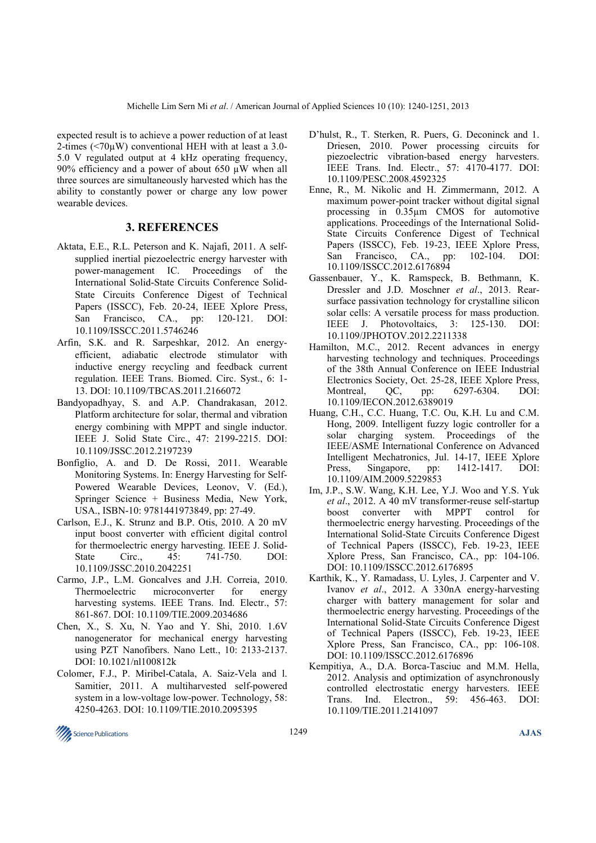expected result is to achieve a power reduction of at least 2-times ( $\leq$ 70 $\mu$ W) conventional HEH with at least a 3.0-5.0 V regulated output at 4 kHz operating frequency, 90% efficiency and a power of about 650  $\mu$ W when all three sources are simultaneously harvested which has the ability to constantly power or charge any low power wearable devices.

### **3. REFERENCES**

- Aktata, E.E., R.L. Peterson and K. Najafi, 2011. A selfsupplied inertial piezoelectric energy harvester with power-management IC. Proceedings of the International Solid-State Circuits Conference Solid-State Circuits Conference Digest of Technical Papers (ISSCC), Feb. 20-24, IEEE Xplore Press, San Francisco, CA., pp: 120-121. DOI: 10.1109/ISSCC.2011.5746246
- Arfin, S.K. and R. Sarpeshkar, 2012. An energyefficient, adiabatic electrode stimulator with inductive energy recycling and feedback current regulation. IEEE Trans. Biomed. Circ. Syst., 6: 1- 13. DOI: 10.1109/TBCAS.2011.2166072
- Bandyopadhyay, S. and A.P. Chandrakasan, 2012. Platform architecture for solar, thermal and vibration energy combining with MPPT and single inductor. IEEE J. Solid State Circ., 47: 2199-2215. DOI: 10.1109/JSSC.2012.2197239
- Bonfiglio, A. and D. De Rossi, 2011. Wearable Monitoring Systems. In: Energy Harvesting for Self-Powered Wearable Devices, Leonov, V. (Ed.), Springer Science + Business Media, New York, USA., ISBN-10: 9781441973849, pp: 27-49.
- Carlson, E.J., K. Strunz and B.P. Otis, 2010. A 20 mV input boost converter with efficient digital control for thermoelectric energy harvesting. IEEE J. Solid-State Circ., 45: 741-750. DOI: 10.1109/JSSC.2010.2042251
- Carmo, J.P., L.M. Goncalves and J.H. Correia, 2010. Thermoelectric microconverter for energy harvesting systems. IEEE Trans. Ind. Electr., 57: 861-867. DOI: 10.1109/TIE.2009.2034686
- Chen, X., S. Xu, N. Yao and Y. Shi, 2010. 1.6V nanogenerator for mechanical energy harvesting using PZT Nanofibers. Nano Lett., 10: 2133-2137. DOI: 10.1021/nl100812k
- Colomer, F.J., P. Miribel-Catala, A. Saiz-Vela and l. Samitier, 2011. A multiharvested self-powered system in a low-voltage low-power. Technology, 58: 4250-4263. DOI: 10.1109/TIE.2010.2095395
- D'hulst, R., T. Sterken, R. Puers, G. Deconinck and 1. Driesen, 2010. Power processing circuits for piezoelectric vibration-based energy harvesters. IEEE Trans. Ind. Electr., 57: 4170-4177. DOI: 10.1109/PESC.2008.4592325
- Enne, R., M. Nikolic and H. Zimmermann, 2012. A maximum power-point tracker without digital signal processing in 0.35µm CMOS for automotive applications. Proceedings of the International Solid-State Circuits Conference Digest of Technical Papers (ISSCC), Feb. 19-23, IEEE Xplore Press, San Francisco, CA., pp: 102-104. DOI: 10.1109/ISSCC.2012.6176894
- Gassenbauer, Y., K. Ramspeck, B. Bethmann, K. Dressler and J.D. Moschner *et al*., 2013. Rearsurface passivation technology for crystalline silicon solar cells: A versatile process for mass production. IEEE J. Photovoltaics, 3: 125-130. DOI: 10.1109/JPHOTOV.2012.2211338
- Hamilton, M.C., 2012. Recent advances in energy harvesting technology and techniques. Proceedings of the 38th Annual Conference on IEEE Industrial Electronics Society, Oct. 25-28, IEEE Xplore Press, Montreal, QC, pp: 6297-6304. DOI: 10.1109/IECON.2012.6389019
- Huang, C.H., C.C. Huang, T.C. Ou, K.H. Lu and C.M. Hong, 2009. Intelligent fuzzy logic controller for a solar charging system. Proceedings of the IEEE/ASME International Conference on Advanced Intelligent Mechatronics, Jul. 14-17, IEEE Xplore Press, Singapore, pp: 1412-1417. DOI: 10.1109/AIM.2009.5229853
- Im, J.P., S.W. Wang, K.H. Lee, Y.J. Woo and Y.S. Yuk *et al*., 2012. A 40 mV transformer-reuse self-startup boost converter with MPPT control for thermoelectric energy harvesting. Proceedings of the International Solid-State Circuits Conference Digest of Technical Papers (ISSCC), Feb. 19-23, IEEE Xplore Press, San Francisco, CA., pp: 104-106. DOI: 10.1109/ISSCC.2012.6176895
- Karthik, K., Y. Ramadass, U. Lyles, J. Carpenter and V. Ivanov *et al*., 2012. A 330nA energy-harvesting charger with battery management for solar and thermoelectric energy harvesting. Proceedings of the International Solid-State Circuits Conference Digest of Technical Papers (ISSCC), Feb. 19-23, IEEE Xplore Press, San Francisco, CA., pp: 106-108. DOI: 10.1109/ISSCC.2012.6176896
- Kempitiya, A., D.A. Borca-Tasciuc and M.M. Hella, 2012. Analysis and optimization of asynchronously controlled electrostatic energy harvesters. IEEE Trans. Ind. Electron., 59: 456-463. DOI: 10.1109/TIE.2011.2141097

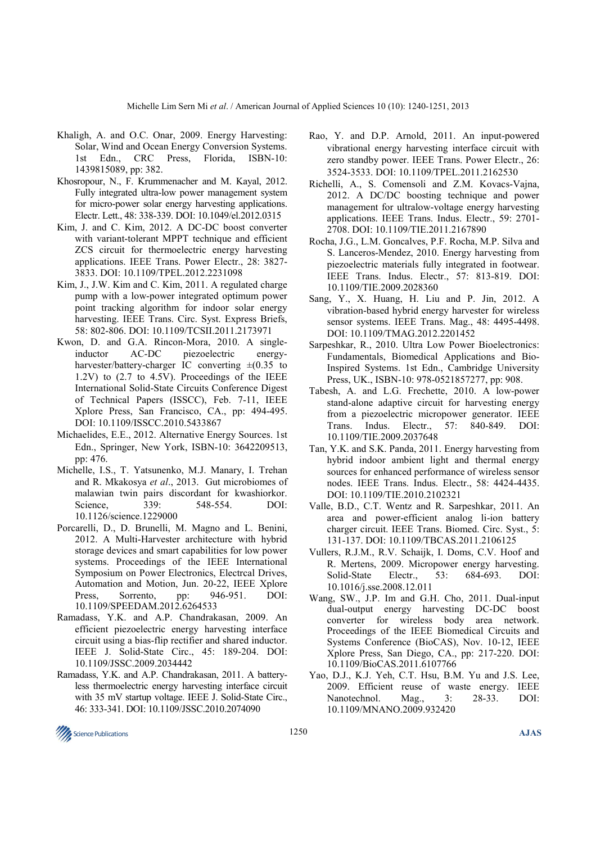- Khaligh, A. and O.C. Onar, 2009. Energy Harvesting: Solar, Wind and Ocean Energy Conversion Systems. 1st Edn., CRC Press, Florida, ISBN-10: 1439815089, pp: 382.
- Khosropour, N., F. Krummenacher and M. Kayal, 2012. Fully integrated ultra-low power management system for micro-power solar energy harvesting applications. Electr. Lett., 48: 338-339. DOI: 10.1049/el.2012.0315
- Kim, J. and C. Kim, 2012. A DC-DC boost converter with variant-tolerant MPPT technique and efficient ZCS circuit for thermoelectric energy harvesting applications. IEEE Trans. Power Electr., 28: 3827- 3833. DOI: 10.1109/TPEL.2012.2231098
- Kim, J., J.W. Kim and C. Kim, 2011. A regulated charge pump with a low-power integrated optimum power point tracking algorithm for indoor solar energy harvesting. IEEE Trans. Circ. Syst. Express Briefs, 58: 802-806. DOI: 10.1109/TCSII.2011.2173971
- Kwon, D. and G.A. Rincon-Mora, 2010. A singleinductor AC-DC piezoelectric energyharvester/battery-charger IC converting  $\pm (0.35)$  to 1.2V) to (2.7 to 4.5V). Proceedings of the IEEE International Solid-State Circuits Conference Digest of Technical Papers (ISSCC), Feb. 7-11, IEEE Xplore Press, San Francisco, CA., pp: 494-495. DOI: 10.1109/ISSCC.2010.5433867
- Michaelides, E.E., 2012. Alternative Energy Sources. 1st Edn., Springer, New York, ISBN-10: 3642209513, pp: 476.
- Michelle, I.S., T. Yatsunenko, M.J. Manary, I. Trehan and R. Mkakosya *et al*., 2013. Gut microbiomes of malawian twin pairs discordant for kwashiorkor. Science, 339: 548-554. DOI: 10.1126/science.1229000
- Porcarelli, D., D. Brunelli, M. Magno and L. Benini, 2012. A Multi-Harvester architecture with hybrid storage devices and smart capabilities for low power systems. Proceedings of the IEEE International Symposium on Power Electronics, Electrcal Drives, Automation and Motion, Jun. 20-22, IEEE Xplore Press, Sorrento, pp: 946-951. DOI: 10.1109/SPEEDAM.2012.6264533
- Ramadass, Y.K. and A.P. Chandrakasan, 2009. An efficient piezoelectric energy harvesting interface circuit using a bias-flip rectifier and shared inductor. IEEE J. Solid-State Circ., 45: 189-204. DOI: 10.1109/JSSC.2009.2034442
- Ramadass, Y.K. and A.P. Chandrakasan, 2011. A batteryless thermoelectric energy harvesting interface circuit with 35 mV startup voltage. IEEE J. Solid-State Circ., 46: 333-341. DOI: 10.1109/JSSC.2010.2074090
- Rao, Y. and D.P. Arnold, 2011. An input-powered vibrational energy harvesting interface circuit with zero standby power. IEEE Trans. Power Electr., 26: 3524-3533. DOI: 10.1109/TPEL.2011.2162530
- Richelli, A., S. Comensoli and Z.M. Kovacs-Vajna, 2012. A DC/DC boosting technique and power management for ultralow-voltage energy harvesting applications. IEEE Trans. Indus. Electr., 59: 2701- 2708. DOI: 10.1109/TIE.2011.2167890
- Rocha, J.G., L.M. Goncalves, P.F. Rocha, M.P. Silva and S. Lanceros-Mendez, 2010. Energy harvesting from piezoelectric materials fully integrated in footwear. IEEE Trans. Indus. Electr., 57: 813-819. DOI: 10.1109/TIE.2009.2028360
- Sang, Y., X. Huang, H. Liu and P. Jin, 2012. A vibration-based hybrid energy harvester for wireless sensor systems. IEEE Trans. Mag., 48: 4495-4498. DOI: 10.1109/TMAG.2012.2201452
- Sarpeshkar, R., 2010. Ultra Low Power Bioelectronics: Fundamentals, Biomedical Applications and Bio-Inspired Systems. 1st Edn., Cambridge University Press, UK., ISBN-10: 978-0521857277, pp: 908.
- Tabesh, A. and L.G. Frechette, 2010. A low-power stand-alone adaptive circuit for harvesting energy from a piezoelectric micropower generator. IEEE Trans. Indus. Electr., 57: 840-849. DOI: 10.1109/TIE.2009.2037648
- Tan, Y.K. and S.K. Panda, 2011. Energy harvesting from hybrid indoor ambient light and thermal energy sources for enhanced performance of wireless sensor nodes. IEEE Trans. Indus. Electr., 58: 4424-4435. DOI: 10.1109/TIE.2010.2102321
- Valle, B.D., C.T. Wentz and R. Sarpeshkar, 2011. An area and power-efficient analog li-ion battery charger circuit. IEEE Trans. Biomed. Circ. Syst., 5: 131-137. DOI: 10.1109/TBCAS.2011.2106125
- Vullers, R.J.M., R.V. Schaijk, I. Doms, C.V. Hoof and R. Mertens, 2009. Micropower energy harvesting. Solid-State Electr., 53: 684-693. DOI: 10.1016/j.sse.2008.12.011
- Wang, SW., J.P. Im and G.H. Cho, 2011. Dual-input dual-output energy harvesting DC-DC boost converter for wireless body area network. Proceedings of the IEEE Biomedical Circuits and Systems Conference (BioCAS), Nov. 10-12, IEEE Xplore Press, San Diego, CA., pp: 217-220. DOI: 10.1109/BioCAS.2011.6107766
- Yao, D.J., K.J. Yeh, C.T. Hsu, B.M. Yu and J.S. Lee, 2009. Efficient reuse of waste energy. IEEE Nanotechnol. Mag., 3: 28-33. DOI: 10.1109/MNANO.2009.932420